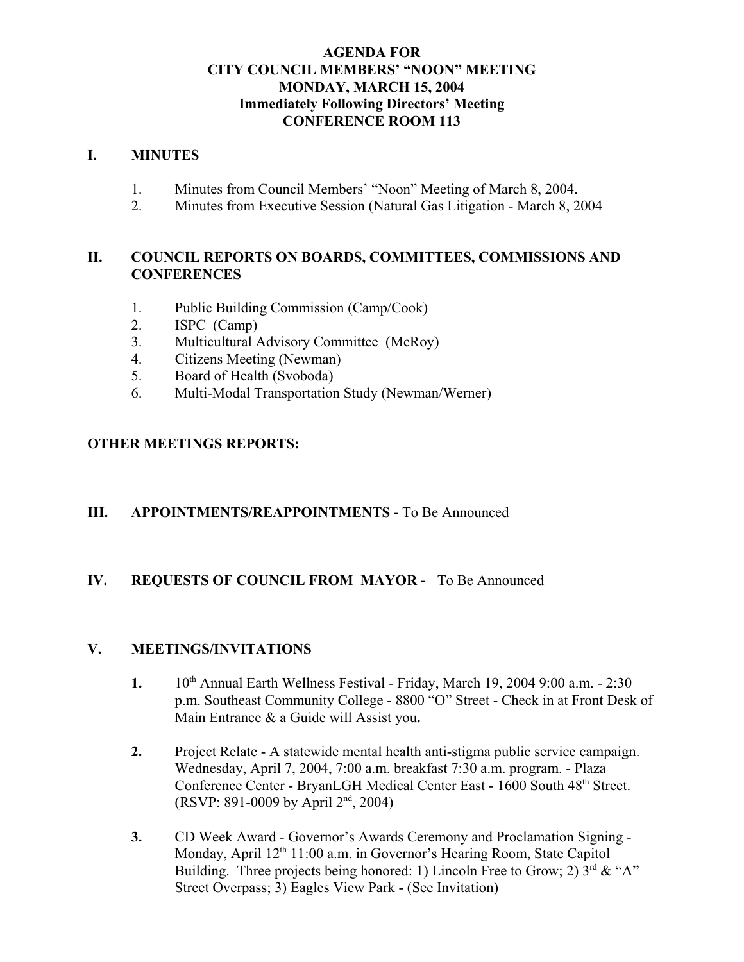### **AGENDA FOR CITY COUNCIL MEMBERS' "NOON" MEETING MONDAY, MARCH 15, 2004 Immediately Following Directors' Meeting CONFERENCE ROOM 113**

#### **I. MINUTES**

- 1. Minutes from Council Members' "Noon" Meeting of March 8, 2004.
- 2. Minutes from Executive Session (Natural Gas Litigation March 8, 2004

### **II. COUNCIL REPORTS ON BOARDS, COMMITTEES, COMMISSIONS AND CONFERENCES**

- 1. Public Building Commission (Camp/Cook)
- 2. ISPC (Camp)
- 3. Multicultural Advisory Committee (McRoy)
- 4. Citizens Meeting (Newman)
- 5. Board of Health (Svoboda)
- 6. Multi-Modal Transportation Study (Newman/Werner)

## **OTHER MEETINGS REPORTS:**

### **III.** APPOINTMENTS/REAPPOINTMENTS - To Be Announced

### **IV. REQUESTS OF COUNCIL FROM MAYOR -** To Be Announced

### **V. MEETINGS/INVITATIONS**

- **1.** 10<sup>th</sup> Annual Earth Wellness Festival Friday, March 19, 2004 9:00 a.m. 2:30 p.m. Southeast Community College - 8800 "O" Street - Check in at Front Desk of Main Entrance & a Guide will Assist you**.**
- **2.** Project Relate A statewide mental health anti-stigma public service campaign. Wednesday, April 7, 2004, 7:00 a.m. breakfast 7:30 a.m. program. - Plaza Conference Center - BryanLGH Medical Center East - 1600 South 48<sup>th</sup> Street. (RSVP: 891-0009 by April 2nd, 2004)
- **3.** CD Week Award Governor's Awards Ceremony and Proclamation Signing Monday, April 12<sup>th</sup> 11:00 a.m. in Governor's Hearing Room, State Capitol Building. Three projects being honored: 1) Lincoln Free to Grow; 2)  $3<sup>rd</sup> \& ^{\circ}A$ " Street Overpass; 3) Eagles View Park - (See Invitation)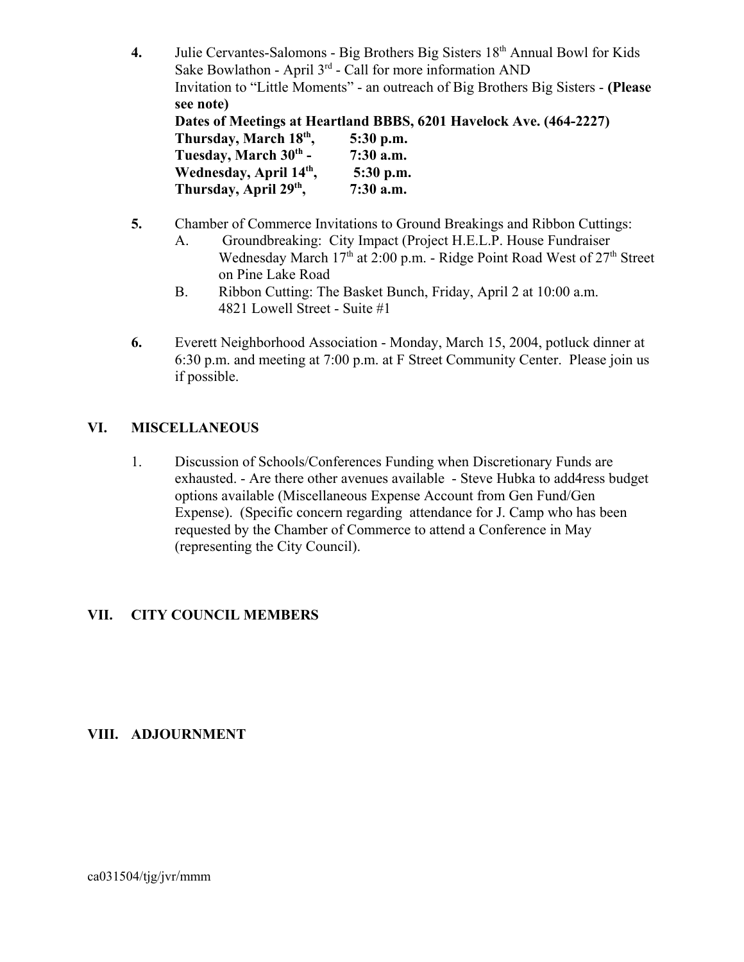- **4.** Julie Cervantes-Salomons Big Brothers Big Sisters 18th Annual Bowl for Kids Sake Bowlathon - April  $3<sup>rd</sup>$  - Call for more information AND Invitation to "Little Moments" - an outreach of Big Brothers Big Sisters - **(Please see note) Dates of Meetings at Heartland BBBS, 6201 Havelock Ave. (464-2227) Thursday, March 18th, 5:30 p.m.**  Tuesday, March 30<sup>th</sup> - 7:30 a.m. Wednesday, April  $14<sup>th</sup>$ , 5:30 p.m. **Thursday, April 29th, 7:30 a.m.**
- **5.** Chamber of Commerce Invitations to Ground Breakings and Ribbon Cuttings:
	- A. Groundbreaking: City Impact (Project H.E.L.P. House Fundraiser Wednesday March  $17<sup>th</sup>$  at 2:00 p.m. - Ridge Point Road West of  $27<sup>th</sup>$  Street on Pine Lake Road
	- B. Ribbon Cutting: The Basket Bunch, Friday, April 2 at 10:00 a.m. 4821 Lowell Street - Suite #1
- **6.** Everett Neighborhood Association Monday, March 15, 2004, potluck dinner at 6:30 p.m. and meeting at 7:00 p.m. at F Street Community Center. Please join us if possible.

## **VI. MISCELLANEOUS**

1. Discussion of Schools/Conferences Funding when Discretionary Funds are exhausted. - Are there other avenues available - Steve Hubka to add4ress budget options available (Miscellaneous Expense Account from Gen Fund/Gen Expense). (Specific concern regarding attendance for J. Camp who has been requested by the Chamber of Commerce to attend a Conference in May (representing the City Council).

# **VII. CITY COUNCIL MEMBERS**

### **VIII. ADJOURNMENT**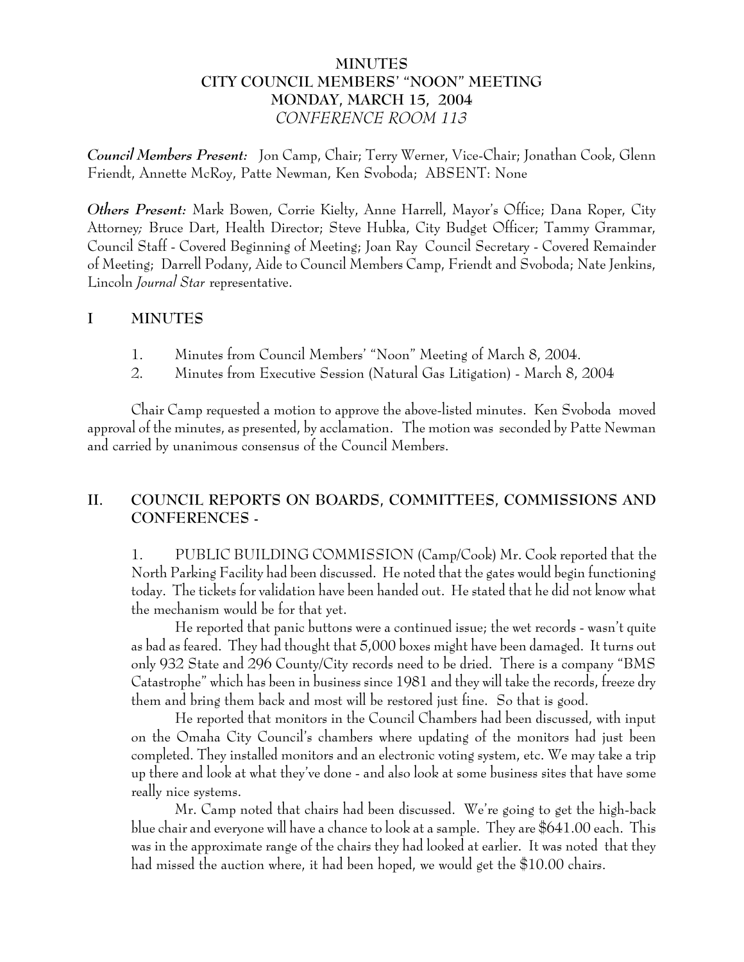## **MINUTES CITY COUNCIL MEMBERS' "NOON" MEETING MONDAY, MARCH 15, 2004** *CONFERENCE ROOM 113*

*Council Members Present:* Jon Camp, Chair; Terry Werner, Vice-Chair; Jonathan Cook, Glenn Friendt, Annette McRoy, Patte Newman, Ken Svoboda; ABSENT: None

*Others Present:* Mark Bowen, Corrie Kielty, Anne Harrell, Mayor's Office; Dana Roper, City Attorney*;* Bruce Dart, Health Director; Steve Hubka, City Budget Officer; Tammy Grammar, Council Staff - Covered Beginning of Meeting; Joan Ray Council Secretary - Covered Remainder of Meeting; Darrell Podany, Aide to Council Members Camp, Friendt and Svoboda; Nate Jenkins, Lincoln *Journal Star* representative.

### **I MINUTES**

- 1. Minutes from Council Members' "Noon" Meeting of March 8, 2004.
- 2. Minutes from Executive Session (Natural Gas Litigation) March 8, 2004

Chair Camp requested a motion to approve the above-listed minutes. Ken Svoboda moved approval of the minutes, as presented, by acclamation. The motion was seconded by Patte Newman and carried by unanimous consensus of the Council Members.

# **II. COUNCIL REPORTS ON BOARDS, COMMITTEES, COMMISSIONS AND CONFERENCES -**

1. PUBLIC BUILDING COMMISSION (Camp/Cook) Mr. Cook reported that the North Parking Facility had been discussed. He noted that the gates would begin functioning today. The tickets for validation have been handed out. He stated that he did not know what the mechanism would be for that yet.

He reported that panic buttons were a continued issue; the wet records - wasn't quite as bad as feared. They had thought that 5,000 boxes might have been damaged. It turns out only 932 State and 296 County/City records need to be dried. There is a company "BMS Catastrophe" which has been in business since 1981 and they will take the records, freeze dry them and bring them back and most will be restored just fine. So that is good.

He reported that monitors in the Council Chambers had been discussed, with input on the Omaha City Council's chambers where updating of the monitors had just been completed. They installed monitors and an electronic voting system, etc. We may take a trip up there and look at what they've done - and also look at some business sites that have some really nice systems.

Mr. Camp noted that chairs had been discussed. We're going to get the high-back blue chair and everyone will have a chance to look at a sample. They are \$641.00 each. This was in the approximate range of the chairs they had looked at earlier. It was noted that they had missed the auction where, it had been hoped, we would get the \$10.00 chairs.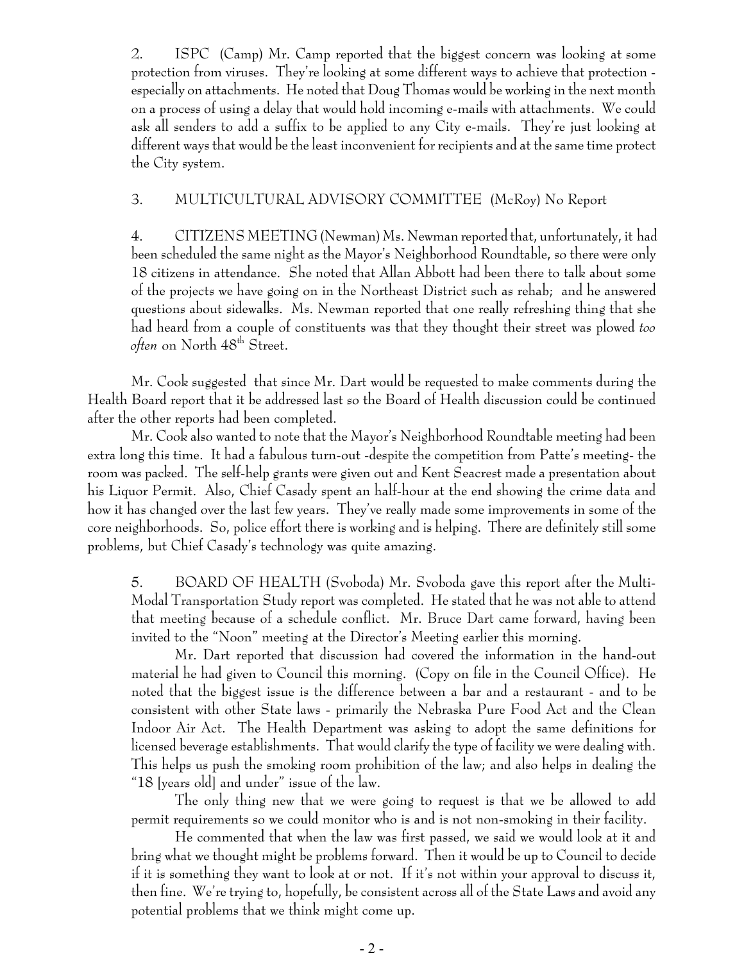2. ISPC (Camp) Mr. Camp reported that the biggest concern was looking at some protection from viruses. They're looking at some different ways to achieve that protection especially on attachments. He noted that Doug Thomas would be working in the next month on a process of using a delay that would hold incoming e-mails with attachments. We could ask all senders to add a suffix to be applied to any City e-mails. They're just looking at different ways that would be the least inconvenient for recipients and at the same time protect the City system.

## 3. MULTICULTURAL ADVISORY COMMITTEE (McRoy) No Report

4. CITIZENS MEETING (Newman) Ms. Newman reported that, unfortunately, it had been scheduled the same night as the Mayor's Neighborhood Roundtable, so there were only 18 citizens in attendance. She noted that Allan Abbott had been there to talk about some of the projects we have going on in the Northeast District such as rehab; and he answered questions about sidewalks. Ms. Newman reported that one really refreshing thing that she had heard from a couple of constituents was that they thought their street was plowed *too often* on North 48th Street.

Mr. Cook suggested that since Mr. Dart would be requested to make comments during the Health Board report that it be addressed last so the Board of Health discussion could be continued after the other reports had been completed.

Mr. Cook also wanted to note that the Mayor's Neighborhood Roundtable meeting had been extra long this time. It had a fabulous turn-out -despite the competition from Patte's meeting- the room was packed. The self-help grants were given out and Kent Seacrest made a presentation about his Liquor Permit. Also, Chief Casady spent an half-hour at the end showing the crime data and how it has changed over the last few years. They've really made some improvements in some of the core neighborhoods. So, police effort there is working and is helping. There are definitely still some problems, but Chief Casady's technology was quite amazing.

5. BOARD OF HEALTH (Svoboda) Mr. Svoboda gave this report after the Multi-Modal Transportation Study report was completed. He stated that he was not able to attend that meeting because of a schedule conflict. Mr. Bruce Dart came forward, having been invited to the "Noon" meeting at the Director's Meeting earlier this morning.

Mr. Dart reported that discussion had covered the information in the hand-out material he had given to Council this morning. (Copy on file in the Council Office). He noted that the biggest issue is the difference between a bar and a restaurant - and to be consistent with other State laws - primarily the Nebraska Pure Food Act and the Clean Indoor Air Act. The Health Department was asking to adopt the same definitions for licensed beverage establishments. That would clarify the type of facility we were dealing with. This helps us push the smoking room prohibition of the law; and also helps in dealing the "18 [years old] and under" issue of the law.

The only thing new that we were going to request is that we be allowed to add permit requirements so we could monitor who is and is not non-smoking in their facility.

He commented that when the law was first passed, we said we would look at it and bring what we thought might be problems forward. Then it would be up to Council to decide if it is something they want to look at or not. If it's not within your approval to discuss it, then fine. We're trying to, hopefully, be consistent across all of the State Laws and avoid any potential problems that we think might come up.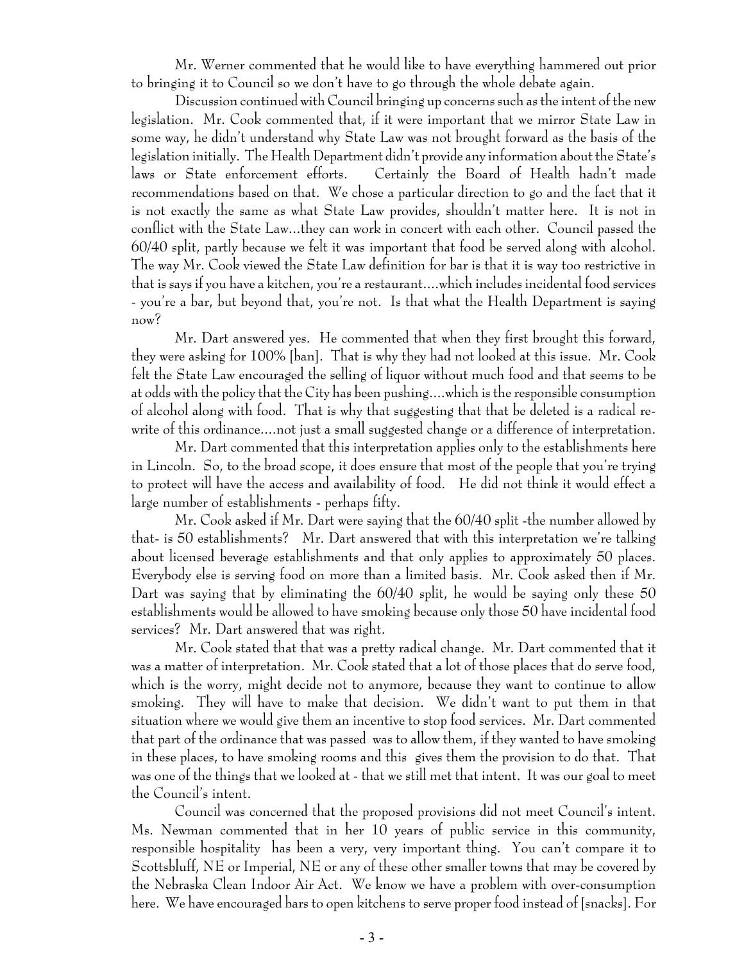Mr. Werner commented that he would like to have everything hammered out prior to bringing it to Council so we don't have to go through the whole debate again.

Discussion continued with Council bringing up concerns such as the intent of the new legislation. Mr. Cook commented that, if it were important that we mirror State Law in some way, he didn't understand why State Law was not brought forward as the basis of the legislation initially. The Health Department didn't provide any information about the State's laws or State enforcement efforts. Certainly the Board of Health hadn't made recommendations based on that. We chose a particular direction to go and the fact that it is not exactly the same as what State Law provides, shouldn't matter here. It is not in conflict with the State Law...they can work in concert with each other. Council passed the 60/40 split, partly because we felt it was important that food be served along with alcohol. The way Mr. Cook viewed the State Law definition for bar is that it is way too restrictive in that is says if you have a kitchen, you're a restaurant....which includes incidental food services - you're a bar, but beyond that, you're not. Is that what the Health Department is saying now?

Mr. Dart answered yes. He commented that when they first brought this forward, they were asking for 100% [ban]. That is why they had not looked at this issue. Mr. Cook felt the State Law encouraged the selling of liquor without much food and that seems to be at odds with the policy that the City has been pushing....which is the responsible consumption of alcohol along with food. That is why that suggesting that that be deleted is a radical rewrite of this ordinance....not just a small suggested change or a difference of interpretation.

Mr. Dart commented that this interpretation applies only to the establishments here in Lincoln. So, to the broad scope, it does ensure that most of the people that you're trying to protect will have the access and availability of food. He did not think it would effect a large number of establishments - perhaps fifty.

Mr. Cook asked if Mr. Dart were saying that the 60/40 split -the number allowed by that- is 50 establishments? Mr. Dart answered that with this interpretation we're talking about licensed beverage establishments and that only applies to approximately 50 places. Everybody else is serving food on more than a limited basis. Mr. Cook asked then if Mr. Dart was saying that by eliminating the 60/40 split, he would be saying only these 50 establishments would be allowed to have smoking because only those 50 have incidental food services? Mr. Dart answered that was right.

Mr. Cook stated that that was a pretty radical change. Mr. Dart commented that it was a matter of interpretation. Mr. Cook stated that a lot of those places that do serve food, which is the worry, might decide not to anymore, because they want to continue to allow smoking. They will have to make that decision. We didn't want to put them in that situation where we would give them an incentive to stop food services. Mr. Dart commented that part of the ordinance that was passed was to allow them, if they wanted to have smoking in these places, to have smoking rooms and this gives them the provision to do that. That was one of the things that we looked at - that we still met that intent. It was our goal to meet the Council's intent.

Council was concerned that the proposed provisions did not meet Council's intent. Ms. Newman commented that in her 10 years of public service in this community, responsible hospitality has been a very, very important thing. You can't compare it to Scottsbluff, NE or Imperial, NE or any of these other smaller towns that may be covered by the Nebraska Clean Indoor Air Act. We know we have a problem with over-consumption here. We have encouraged bars to open kitchens to serve proper food instead of [snacks]. For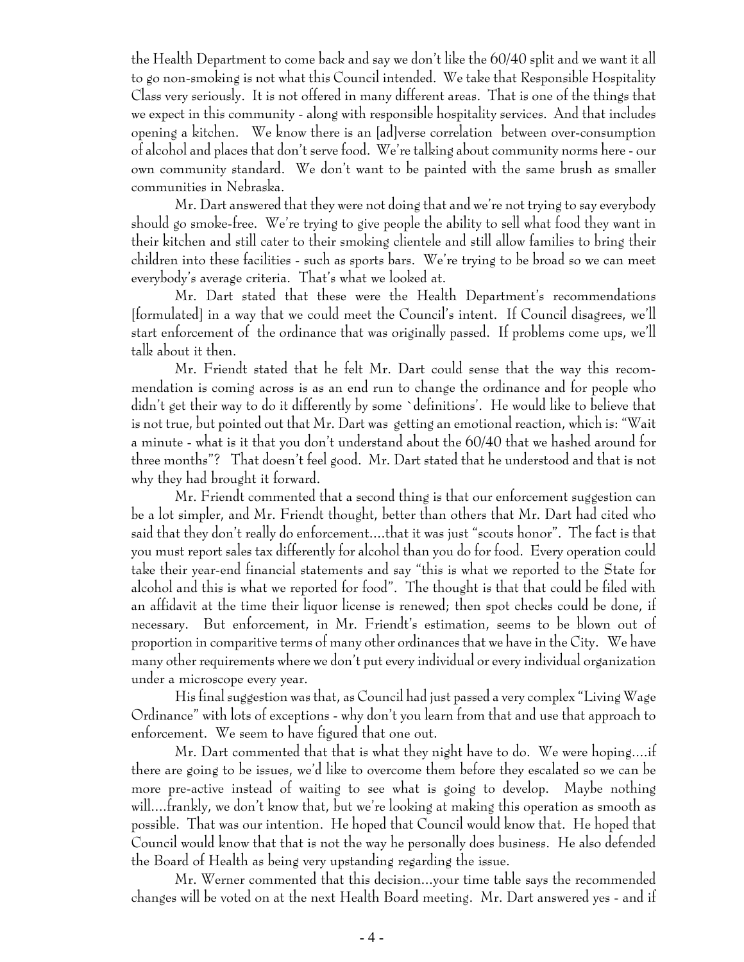the Health Department to come back and say we don't like the 60/40 split and we want it all to go non-smoking is not what this Council intended. We take that Responsible Hospitality Class very seriously. It is not offered in many different areas. That is one of the things that we expect in this community - along with responsible hospitality services. And that includes opening a kitchen. We know there is an [ad]verse correlation between over-consumption of alcohol and places that don't serve food. We're talking about community norms here - our own community standard. We don't want to be painted with the same brush as smaller communities in Nebraska.

Mr. Dart answered that they were not doing that and we're not trying to say everybody should go smoke-free. We're trying to give people the ability to sell what food they want in their kitchen and still cater to their smoking clientele and still allow families to bring their children into these facilities - such as sports bars. We're trying to be broad so we can meet everybody's average criteria. That's what we looked at.

Mr. Dart stated that these were the Health Department's recommendations [formulated] in a way that we could meet the Council's intent. If Council disagrees, we'll start enforcement of the ordinance that was originally passed. If problems come ups, we'll talk about it then.

Mr. Friendt stated that he felt Mr. Dart could sense that the way this recommendation is coming across is as an end run to change the ordinance and for people who didn't get their way to do it differently by some `definitions'. He would like to believe that is not true, but pointed out that Mr. Dart was getting an emotional reaction, which is: "Wait a minute - what is it that you don't understand about the 60/40 that we hashed around for three months"? That doesn't feel good. Mr. Dart stated that he understood and that is not why they had brought it forward.

Mr. Friendt commented that a second thing is that our enforcement suggestion can be a lot simpler, and Mr. Friendt thought, better than others that Mr. Dart had cited who said that they don't really do enforcement....that it was just "scouts honor". The fact is that you must report sales tax differently for alcohol than you do for food. Every operation could take their year-end financial statements and say "this is what we reported to the State for alcohol and this is what we reported for food". The thought is that that could be filed with an affidavit at the time their liquor license is renewed; then spot checks could be done, if necessary. But enforcement, in Mr. Friendt's estimation, seems to be blown out of proportion in comparitive terms of many other ordinances that we have in the City. We have many other requirements where we don't put every individual or every individual organization under a microscope every year.

His final suggestion was that, as Council had just passed a very complex "Living Wage Ordinance" with lots of exceptions - why don't you learn from that and use that approach to enforcement. We seem to have figured that one out.

Mr. Dart commented that that is what they night have to do. We were hoping....if there are going to be issues, we'd like to overcome them before they escalated so we can be more pre-active instead of waiting to see what is going to develop. Maybe nothing will....frankly, we don't know that, but we're looking at making this operation as smooth as possible. That was our intention. He hoped that Council would know that. He hoped that Council would know that that is not the way he personally does business. He also defended the Board of Health as being very upstanding regarding the issue.

Mr. Werner commented that this decision...your time table says the recommended changes will be voted on at the next Health Board meeting. Mr. Dart answered yes - and if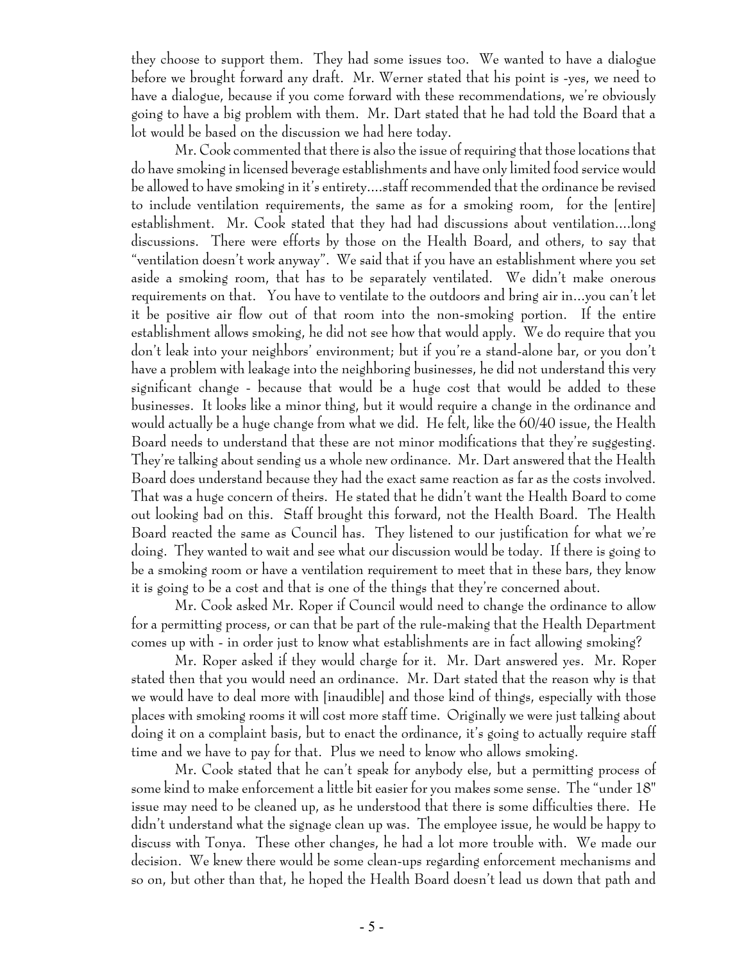they choose to support them. They had some issues too. We wanted to have a dialogue before we brought forward any draft. Mr. Werner stated that his point is -yes, we need to have a dialogue, because if you come forward with these recommendations, we're obviously going to have a big problem with them. Mr. Dart stated that he had told the Board that a lot would be based on the discussion we had here today.

Mr. Cook commented that there is also the issue of requiring that those locations that do have smoking in licensed beverage establishments and have only limited food service would be allowed to have smoking in it's entirety....staff recommended that the ordinance be revised to include ventilation requirements, the same as for a smoking room, for the [entire] establishment. Mr. Cook stated that they had had discussions about ventilation....long discussions. There were efforts by those on the Health Board, and others, to say that "ventilation doesn't work anyway". We said that if you have an establishment where you set aside a smoking room, that has to be separately ventilated. We didn't make onerous requirements on that. You have to ventilate to the outdoors and bring air in...you can't let it be positive air flow out of that room into the non-smoking portion. If the entire establishment allows smoking, he did not see how that would apply. We do require that you don't leak into your neighbors' environment; but if you're a stand-alone bar, or you don't have a problem with leakage into the neighboring businesses, he did not understand this very significant change - because that would be a huge cost that would be added to these businesses. It looks like a minor thing, but it would require a change in the ordinance and would actually be a huge change from what we did. He felt, like the 60/40 issue, the Health Board needs to understand that these are not minor modifications that they're suggesting. They're talking about sending us a whole new ordinance. Mr. Dart answered that the Health Board does understand because they had the exact same reaction as far as the costs involved. That was a huge concern of theirs. He stated that he didn't want the Health Board to come out looking bad on this. Staff brought this forward, not the Health Board. The Health Board reacted the same as Council has. They listened to our justification for what we're doing. They wanted to wait and see what our discussion would be today. If there is going to be a smoking room or have a ventilation requirement to meet that in these bars, they know it is going to be a cost and that is one of the things that they're concerned about.

Mr. Cook asked Mr. Roper if Council would need to change the ordinance to allow for a permitting process, or can that be part of the rule-making that the Health Department comes up with - in order just to know what establishments are in fact allowing smoking?

Mr. Roper asked if they would charge for it. Mr. Dart answered yes. Mr. Roper stated then that you would need an ordinance. Mr. Dart stated that the reason why is that we would have to deal more with [inaudible] and those kind of things, especially with those places with smoking rooms it will cost more staff time. Originally we were just talking about doing it on a complaint basis, but to enact the ordinance, it's going to actually require staff time and we have to pay for that. Plus we need to know who allows smoking.

Mr. Cook stated that he can't speak for anybody else, but a permitting process of some kind to make enforcement a little bit easier for you makes some sense. The "under 18" issue may need to be cleaned up, as he understood that there is some difficulties there. He didn't understand what the signage clean up was. The employee issue, he would be happy to discuss with Tonya. These other changes, he had a lot more trouble with. We made our decision. We knew there would be some clean-ups regarding enforcement mechanisms and so on, but other than that, he hoped the Health Board doesn't lead us down that path and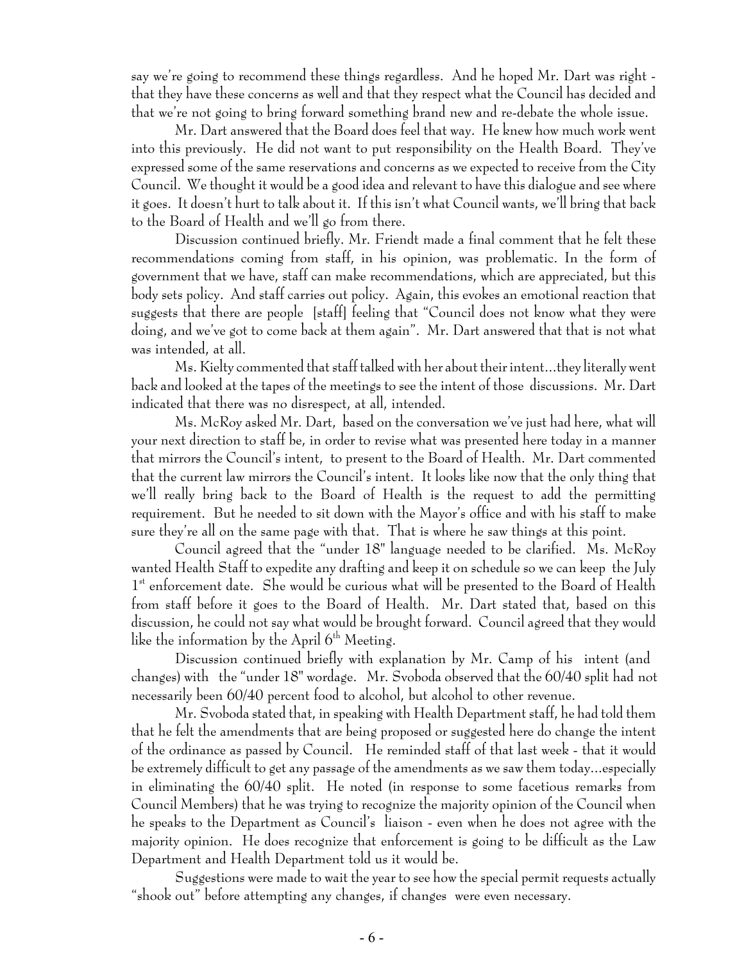say we're going to recommend these things regardless. And he hoped Mr. Dart was right that they have these concerns as well and that they respect what the Council has decided and that we're not going to bring forward something brand new and re-debate the whole issue.

Mr. Dart answered that the Board does feel that way. He knew how much work went into this previously. He did not want to put responsibility on the Health Board. They've expressed some of the same reservations and concerns as we expected to receive from the City Council. We thought it would be a good idea and relevant to have this dialogue and see where it goes. It doesn't hurt to talk about it. If this isn't what Council wants, we'll bring that back to the Board of Health and we'll go from there.

Discussion continued briefly. Mr. Friendt made a final comment that he felt these recommendations coming from staff, in his opinion, was problematic. In the form of government that we have, staff can make recommendations, which are appreciated, but this body sets policy. And staff carries out policy. Again, this evokes an emotional reaction that suggests that there are people [staff] feeling that "Council does not know what they were doing, and we've got to come back at them again". Mr. Dart answered that that is not what was intended, at all.

Ms. Kielty commented that staff talked with her about their intent...they literally went back and looked at the tapes of the meetings to see the intent of those discussions. Mr. Dart indicated that there was no disrespect, at all, intended.

Ms. McRoy asked Mr. Dart, based on the conversation we've just had here, what will your next direction to staff be, in order to revise what was presented here today in a manner that mirrors the Council's intent, to present to the Board of Health. Mr. Dart commented that the current law mirrors the Council's intent. It looks like now that the only thing that we'll really bring back to the Board of Health is the request to add the permitting requirement. But he needed to sit down with the Mayor's office and with his staff to make sure they're all on the same page with that. That is where he saw things at this point.

Council agreed that the "under 18" language needed to be clarified. Ms. McRoy wanted Health Staff to expedite any drafting and keep it on schedule so we can keep the July 1<sup>st</sup> enforcement date. She would be curious what will be presented to the Board of Health from staff before it goes to the Board of Health. Mr. Dart stated that, based on this discussion, he could not say what would be brought forward. Council agreed that they would like the information by the April  $6<sup>th</sup>$  Meeting.

Discussion continued briefly with explanation by Mr. Camp of his intent (and changes) with the "under 18" wordage. Mr. Svoboda observed that the 60/40 split had not necessarily been 60/40 percent food to alcohol, but alcohol to other revenue.

Mr. Svoboda stated that, in speaking with Health Department staff, he had told them that he felt the amendments that are being proposed or suggested here do change the intent of the ordinance as passed by Council. He reminded staff of that last week - that it would be extremely difficult to get any passage of the amendments as we saw them today...especially in eliminating the 60/40 split. He noted (in response to some facetious remarks from Council Members) that he was trying to recognize the majority opinion of the Council when he speaks to the Department as Council's liaison - even when he does not agree with the majority opinion. He does recognize that enforcement is going to be difficult as the Law Department and Health Department told us it would be.

Suggestions were made to wait the year to see how the special permit requests actually "shook out" before attempting any changes, if changes were even necessary.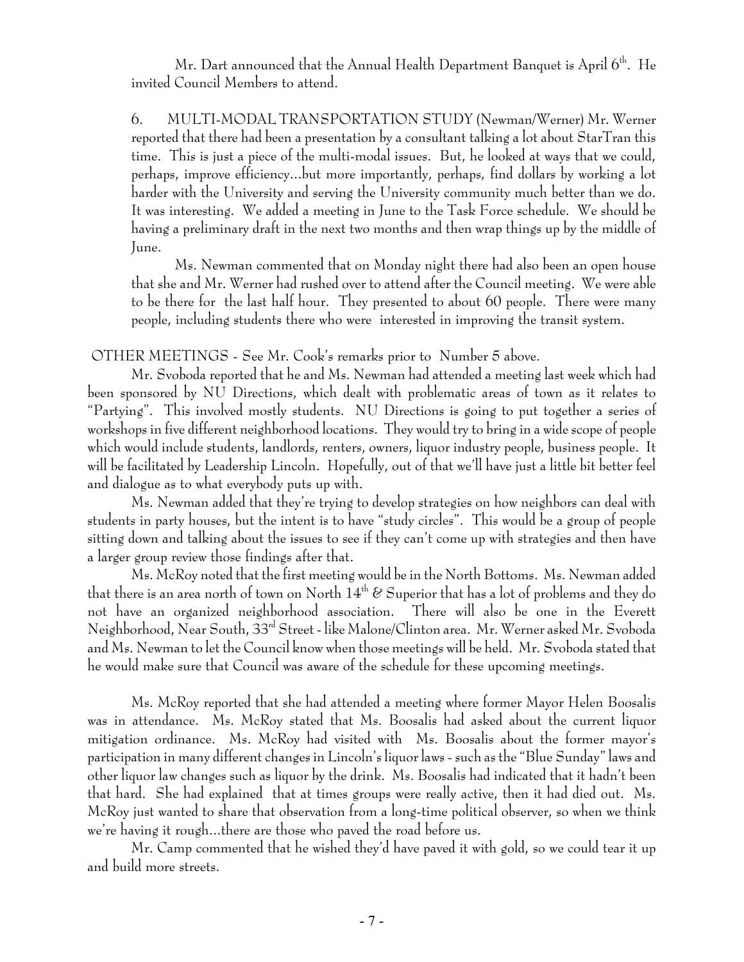Mr. Dart announced that the Annual Health Department Banquet is April  $6<sup>th</sup>$ . He invited Council Members to attend.

6. MULTI-MODAL TRANSPORTATION STUDY (Newman/Werner) Mr. Werner reported that there had been a presentation by a consultant talking a lot about StarTran this time. This is just a piece of the multi-modal issues. But, he looked at ways that we could, perhaps, improve efficiency...but more importantly, perhaps, find dollars by working a lot harder with the University and serving the University community much better than we do. It was interesting. We added a meeting in June to the Task Force schedule. We should be having a preliminary draft in the next two months and then wrap things up by the middle of June.

Ms. Newman commented that on Monday night there had also been an open house that she and Mr. Werner had rushed over to attend after the Council meeting. We were able to be there for the last half hour. They presented to about 60 people. There were many people, including students there who were interested in improving the transit system.

OTHER MEETINGS - See Mr. Cook's remarks prior to Number 5 above.

Mr. Svoboda reported that he and Ms. Newman had attended a meeting last week which had been sponsored by NU Directions, which dealt with problematic areas of town as it relates to "Partying". This involved mostly students. NU Directions is going to put together a series of workshops in five different neighborhood locations. They would try to bring in a wide scope of people which would include students, landlords, renters, owners, liquor industry people, business people. It will be facilitated by Leadership Lincoln. Hopefully, out of that we'll have just a little bit better feel and dialogue as to what everybody puts up with.

Ms. Newman added that they're trying to develop strategies on how neighbors can deal with students in party houses, but the intent is to have "study circles". This would be a group of people sitting down and talking about the issues to see if they can't come up with strategies and then have a larger group review those findings after that.

Ms. McRoy noted that the first meeting would be in the North Bottoms. Ms. Newman added that there is an area north of town on North  $14<sup>th</sup>$  & Superior that has a lot of problems and they do not have an organized neighborhood association. There will also be one in the Everett Neighborhood, Near South, 33rd Street - like Malone/Clinton area. Mr. Werner asked Mr. Svoboda and Ms. Newman to let the Council know when those meetings will be held. Mr. Svoboda stated that he would make sure that Council was aware of the schedule for these upcoming meetings.

Ms. McRoy reported that she had attended a meeting where former Mayor Helen Boosalis was in attendance. Ms. McRoy stated that Ms. Boosalis had asked about the current liquor mitigation ordinance. Ms. McRoy had visited with Ms. Boosalis about the former mayor's participation in many different changes in Lincoln's liquor laws - such as the "Blue Sunday" laws and other liquor law changes such as liquor by the drink. Ms. Boosalis had indicated that it hadn't been that hard. She had explained that at times groups were really active, then it had died out. Ms. McRoy just wanted to share that observation from a long-time political observer, so when we think we're having it rough...there are those who paved the road before us.

Mr. Camp commented that he wished they'd have paved it with gold, so we could tear it up and build more streets.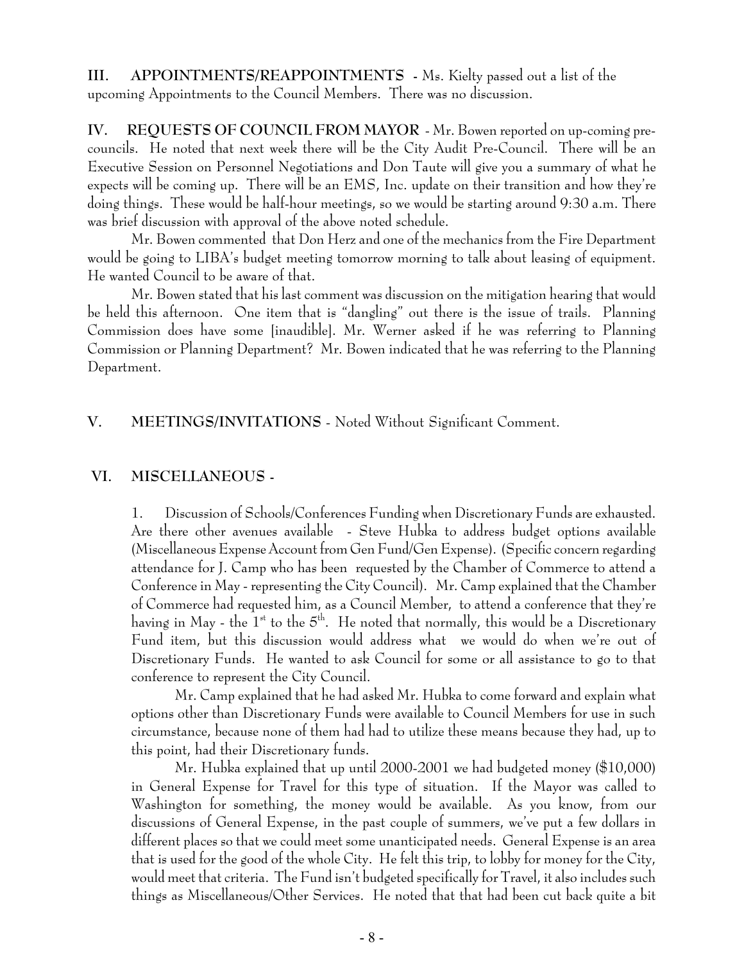**III. APPOINTMENTS/REAPPOINTMENTS -** Ms. Kielty passed out a list of the upcoming Appointments to the Council Members. There was no discussion.

**IV. REQUESTS OF COUNCIL FROM MAYOR** - Mr. Bowen reported on up-coming precouncils. He noted that next week there will be the City Audit Pre-Council. There will be an Executive Session on Personnel Negotiations and Don Taute will give you a summary of what he expects will be coming up. There will be an EMS, Inc. update on their transition and how they're doing things. These would be half-hour meetings, so we would be starting around 9:30 a.m. There was brief discussion with approval of the above noted schedule.

Mr. Bowen commented that Don Herz and one of the mechanics from the Fire Department would be going to LIBA's budget meeting tomorrow morning to talk about leasing of equipment. He wanted Council to be aware of that.

Mr. Bowen stated that his last comment was discussion on the mitigation hearing that would be held this afternoon. One item that is "dangling" out there is the issue of trails. Planning Commission does have some [inaudible]. Mr. Werner asked if he was referring to Planning Commission or Planning Department? Mr. Bowen indicated that he was referring to the Planning Department.

#### **V. MEETINGS/INVITATIONS** - Noted Without Significant Comment.

#### **VI. MISCELLANEOUS -**

1. Discussion of Schools/Conferences Funding when Discretionary Funds are exhausted. Are there other avenues available - Steve Hubka to address budget options available (Miscellaneous Expense Account from Gen Fund/Gen Expense). (Specific concern regarding attendance for J. Camp who has been requested by the Chamber of Commerce to attend a Conference in May - representing the City Council). Mr. Camp explained that the Chamber of Commerce had requested him, as a Council Member, to attend a conference that they're having in May - the  $1^{st}$  to the  $5^{th}$ . He noted that normally, this would be a Discretionary Fund item, but this discussion would address what we would do when we're out of Discretionary Funds. He wanted to ask Council for some or all assistance to go to that conference to represent the City Council.

Mr. Camp explained that he had asked Mr. Hubka to come forward and explain what options other than Discretionary Funds were available to Council Members for use in such circumstance, because none of them had had to utilize these means because they had, up to this point, had their Discretionary funds.

Mr. Hubka explained that up until 2000-2001 we had budgeted money (\$10,000) in General Expense for Travel for this type of situation. If the Mayor was called to Washington for something, the money would be available. As you know, from our discussions of General Expense, in the past couple of summers, we've put a few dollars in different places so that we could meet some unanticipated needs. General Expense is an area that is used for the good of the whole City. He felt this trip, to lobby for money for the City, would meet that criteria. The Fund isn't budgeted specifically for Travel, it also includes such things as Miscellaneous/Other Services. He noted that that had been cut back quite a bit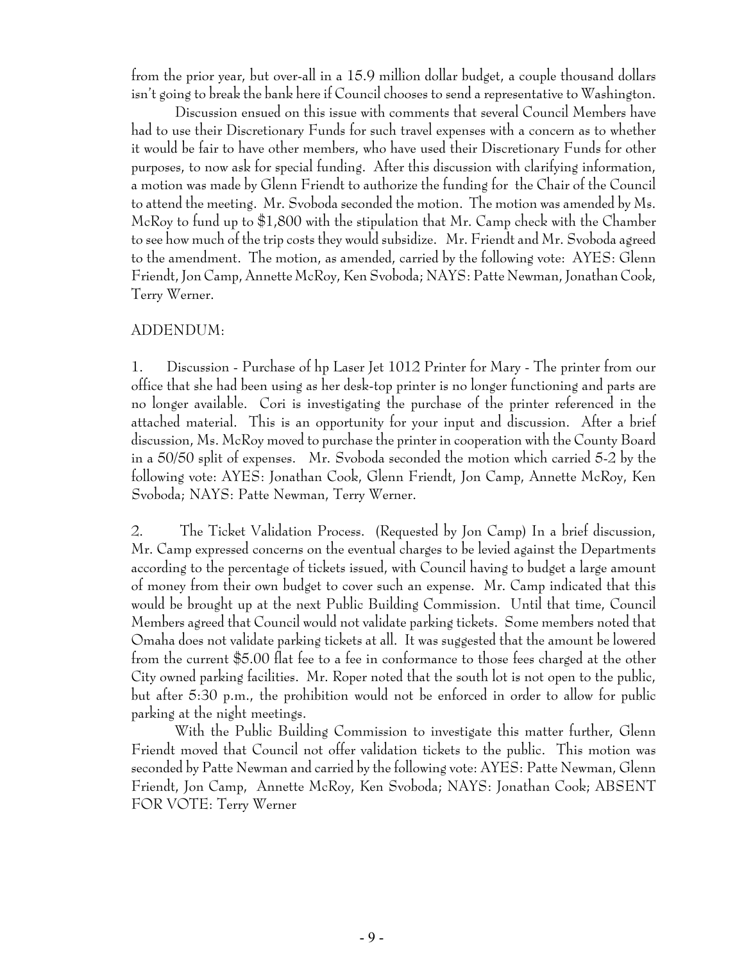from the prior year, but over-all in a 15.9 million dollar budget, a couple thousand dollars isn't going to break the bank here if Council chooses to send a representative to Washington.

Discussion ensued on this issue with comments that several Council Members have had to use their Discretionary Funds for such travel expenses with a concern as to whether it would be fair to have other members, who have used their Discretionary Funds for other purposes, to now ask for special funding. After this discussion with clarifying information, a motion was made by Glenn Friendt to authorize the funding for the Chair of the Council to attend the meeting. Mr. Svoboda seconded the motion. The motion was amended by Ms. McRoy to fund up to \$1,800 with the stipulation that Mr. Camp check with the Chamber to see how much of the trip costs they would subsidize. Mr. Friendt and Mr. Svoboda agreed to the amendment. The motion, as amended, carried by the following vote: AYES: Glenn Friendt, Jon Camp, Annette McRoy, Ken Svoboda; NAYS: Patte Newman, Jonathan Cook, Terry Werner.

#### ADDENDUM:

1. Discussion - Purchase of hp Laser Jet 1012 Printer for Mary - The printer from our office that she had been using as her desk-top printer is no longer functioning and parts are no longer available. Cori is investigating the purchase of the printer referenced in the attached material. This is an opportunity for your input and discussion. After a brief discussion, Ms. McRoy moved to purchase the printer in cooperation with the County Board in a 50/50 split of expenses. Mr. Svoboda seconded the motion which carried 5-2 by the following vote: AYES: Jonathan Cook, Glenn Friendt, Jon Camp, Annette McRoy, Ken Svoboda; NAYS: Patte Newman, Terry Werner.

2. The Ticket Validation Process. (Requested by Jon Camp) In a brief discussion, Mr. Camp expressed concerns on the eventual charges to be levied against the Departments according to the percentage of tickets issued, with Council having to budget a large amount of money from their own budget to cover such an expense. Mr. Camp indicated that this would be brought up at the next Public Building Commission. Until that time, Council Members agreed that Council would not validate parking tickets. Some members noted that Omaha does not validate parking tickets at all. It was suggested that the amount be lowered from the current \$5.00 flat fee to a fee in conformance to those fees charged at the other City owned parking facilities. Mr. Roper noted that the south lot is not open to the public, but after 5:30 p.m., the prohibition would not be enforced in order to allow for public parking at the night meetings.

With the Public Building Commission to investigate this matter further, Glenn Friendt moved that Council not offer validation tickets to the public. This motion was seconded by Patte Newman and carried by the following vote: AYES: Patte Newman, Glenn Friendt, Jon Camp, Annette McRoy, Ken Svoboda; NAYS: Jonathan Cook; ABSENT FOR VOTE: Terry Werner